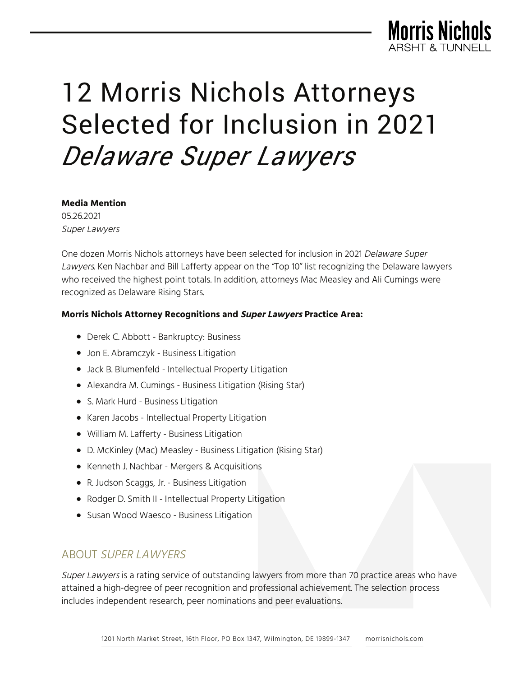

# 12 Morris Nichols Attorneys Selected for Inclusion in 2021 *Delaware Super Lawyers*

#### **Media Mention**

05.26.2021 Super Lawyers

One dozen Morris Nichols attorneys have been selected for inclusion in 2021 Delaware Super Lawyers. Ken Nachbar and Bill Lafferty appear on the "Top 10" list recognizing the Delaware lawyers who received the highest point totals. In addition, attorneys Mac Measley and Ali Cumings were recognized as Delaware Rising Stars.

### **Morris Nichols Attorney Recognitions and Super Lawyers Practice Area:**

- Derek C. Abbott Bankruptcy: Business
- Jon E. Abramczyk Business Litigation
- Jack B. Blumenfeld Intellectual Property Litigation
- Alexandra M. Cumings Business Litigation (Rising Star)
- S. Mark Hurd Business Litigation
- Karen Jacobs Intellectual Property Litigation
- William M. Lafferty Business Litigation
- D. McKinley (Mac) Measley Business Litigation (Rising Star)
- Kenneth J. Nachbar Mergers & Acquisitions
- R. Judson Scaggs, Jr. Business Litigation
- Rodger D. Smith II Intellectual Property Litigation
- Susan Wood Waesco Business Litigation

# ABOUT SUPER LAWYERS

Super Lawyers is a rating service of outstanding lawyers from more than 70 practice areas who have attained a high-degree of peer recognition and professional achievement. The selection process includes independent research, peer nominations and peer evaluations.